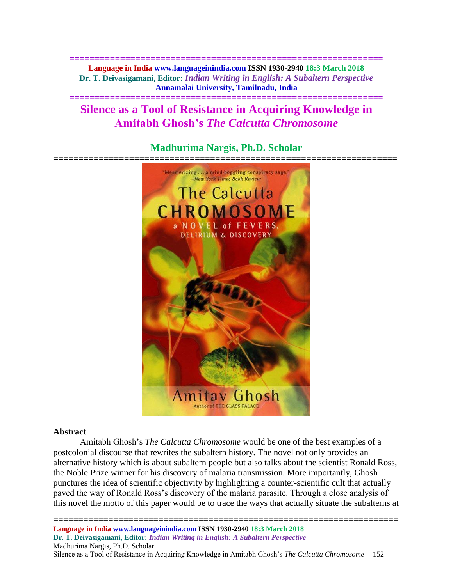**============================================================== Language in India www.languageinindia.com ISSN 1930-2940 18:3 March 2018 Dr. T. Deivasigamani, Editor:** *Indian Writing in English: A Subaltern Perspective* **Annamalai University, Tamilnadu, India**

**==============================================================**

# **Silence as a Tool of Resistance in Acquiring Knowledge in Amitabh Ghosh's** *The Calcutta Chromosome*

# **Madhurima Nargis, Ph.D. Scholar**



#### **Abstract**

Amitabh Ghosh's *The Calcutta Chromosome* would be one of the best examples of a postcolonial discourse that rewrites the subaltern history. The novel not only provides an alternative history which is about subaltern people but also talks about the scientist Ronald Ross, the Noble Prize winner for his discovery of malaria transmission. More importantly, Ghosh punctures the idea of scientific objectivity by highlighting a counter-scientific cult that actually paved the way of Ronald Ross's discovery of the malaria parasite. Through a close analysis of this novel the motto of this paper would be to trace the ways that actually situate the subalterns at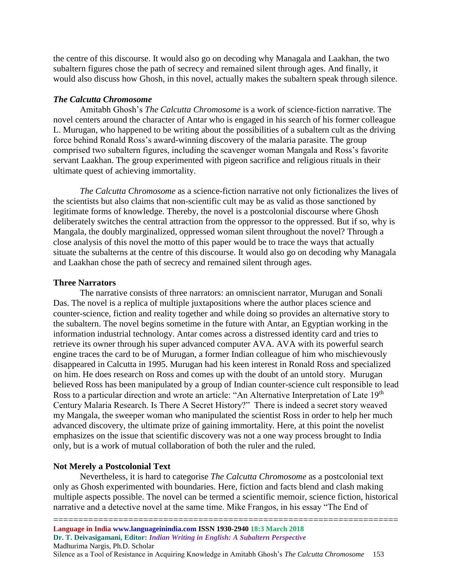the centre of this discourse. It would also go on decoding why Managala and Laakhan, the two subaltern figures chose the path of secrecy and remained silent through ages. And finally, it would also discuss how Ghosh, in this novel, actually makes the subaltern speak through silence.

#### *The Calcutta Chromosome*

Amitabh Ghosh's *The Calcutta Chromosome* is a work of science-fiction narrative. The novel centers around the character of Antar who is engaged in his search of his former colleague L. Murugan, who happened to be writing about the possibilities of a subaltern cult as the driving force behind Ronald Ross's award-winning discovery of the malaria parasite. The group comprised two subaltern figures, including the scavenger woman Mangala and Ross's favorite servant Laakhan. The group experimented with pigeon sacrifice and religious rituals in their ultimate quest of achieving immortality.

*The Calcutta Chromosome* as a science-fiction narrative not only fictionalizes the lives of the scientists but also claims that non-scientific cult may be as valid as those sanctioned by legitimate forms of knowledge. Thereby, the novel is a postcolonial discourse where Ghosh deliberately switches the central attraction from the oppressor to the oppressed. But if so, why is Mangala, the doubly marginalized, oppressed woman silent throughout the novel? Through a close analysis of this novel the motto of this paper would be to trace the ways that actually situate the subalterns at the centre of this discourse. It would also go on decoding why Managala and Laakhan chose the path of secrecy and remained silent through ages.

### **Three Narrators**

The narrative consists of three narrators: an omniscient narrator, Murugan and Sonali Das. The novel is a replica of multiple juxtapositions where the author places science and counter-science, fiction and reality together and while doing so provides an alternative story to the subaltern. The novel begins sometime in the future with Antar, an Egyptian working in the information industrial technology. Antar comes across a distressed identity card and tries to retrieve its owner through his super advanced computer AVA. AVA with its powerful search engine traces the card to be of Murugan, a former Indian colleague of him who mischievously disappeared in Calcutta in 1995. Murugan had his keen interest in Ronald Ross and specialized on him. He does research on Ross and comes up with the doubt of an untold story. Murugan believed Ross has been manipulated by a group of Indian counter-science cult responsible to lead Ross to a particular direction and wrote an article: "An Alternative Interpretation of Late 19<sup>th</sup> Century Malaria Research. Is There A Secret History?" There is indeed a secret story weaved my Mangala, the sweeper woman who manipulated the scientist Ross in order to help her much advanced discovery, the ultimate prize of gaining immortality. Here, at this point the novelist emphasizes on the issue that scientific discovery was not a one way process brought to India only, but is a work of mutual collaboration of both the ruler and the ruled.

#### **Not Merely a Postcolonial Text**

Nevertheless, it is hard to categorise *The Calcutta Chromosome* as a postcolonial text only as Ghosh experimented with boundaries. Here, fiction and facts blend and clash making multiple aspects possible. The novel can be termed a scientific memoir, science fiction, historical narrative and a detective novel at the same time. Mike Frangos, in his essay "The End of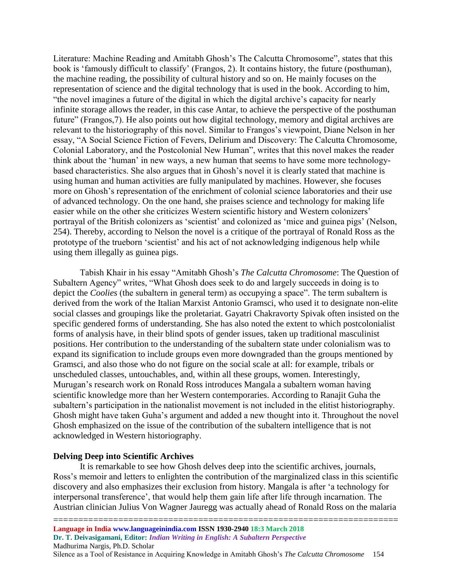Literature: Machine Reading and Amitabh Ghosh's The Calcutta Chromosome", states that this book is 'famously difficult to classify' (Frangos, 2). It contains history, the future (posthuman), the machine reading, the possibility of cultural history and so on. He mainly focuses on the representation of science and the digital technology that is used in the book. According to him, "the novel imagines a future of the digital in which the digital archive's capacity for nearly infinite storage allows the reader, in this case Antar, to achieve the perspective of the posthuman future" (Frangos,7). He also points out how digital technology, memory and digital archives are relevant to the historiography of this novel. Similar to Frangos's viewpoint, Diane Nelson in her essay, "A Social Science Fiction of Fevers, Delirium and Discovery: The Calcutta Chromosome, Colonial Laboratory, and the Postcolonial New Human", writes that this novel makes the reader think about the 'human' in new ways, a new human that seems to have some more technologybased characteristics. She also argues that in Ghosh's novel it is clearly stated that machine is using human and human activities are fully manipulated by machines. However, she focuses more on Ghosh's representation of the enrichment of colonial science laboratories and their use of advanced technology. On the one hand, she praises science and technology for making life easier while on the other she criticizes Western scientific history and Western colonizers' portrayal of the British colonizers as 'scientist' and colonized as 'mice and guinea pigs' (Nelson, 254). Thereby, according to Nelson the novel is a critique of the portrayal of Ronald Ross as the prototype of the trueborn 'scientist' and his act of not acknowledging indigenous help while using them illegally as guinea pigs.

Tabish Khair in his essay "Amitabh Ghosh's *The Calcutta Chromosome*: The Question of Subaltern Agency" writes, "What Ghosh does seek to do and largely succeeds in doing is to depict the *Coolies* (the subaltern in general term) as occupying a space". The term subaltern is derived from the work of the Italian Marxist Antonio Gramsci, who used it to designate non-elite social classes and groupings like the proletariat. Gayatri Chakravorty Spivak often insisted on the specific gendered forms of understanding. She has also noted the extent to which postcolonialist forms of analysis have, in their blind spots of gender issues, taken up traditional masculinist positions. Her contribution to the understanding of the subaltern state under colonialism was to expand its signification to include groups even more downgraded than the groups mentioned by Gramsci, and also those who do not figure on the social scale at all: for example, tribals or unscheduled classes, untouchables, and, within all these groups, women. Interestingly, Murugan's research work on Ronald Ross introduces Mangala a subaltern woman having scientific knowledge more than her Western contemporaries. According to Ranajit Guha the subaltern's participation in the nationalist movement is not included in the elitist historiography. Ghosh might have taken Guha's argument and added a new thought into it. Throughout the novel Ghosh emphasized on the issue of the contribution of the subaltern intelligence that is not acknowledged in Western historiography.

# **Delving Deep into Scientific Archives**

It is remarkable to see how Ghosh delves deep into the scientific archives, journals, Ross's memoir and letters to enlighten the contribution of the marginalized class in this scientific discovery and also emphasizes their exclusion from history. Mangala is after 'a technology for interpersonal transference', that would help them gain life after life through incarnation. The Austrian clinician Julius Von Wagner Jauregg was actually ahead of Ronald Ross on the malaria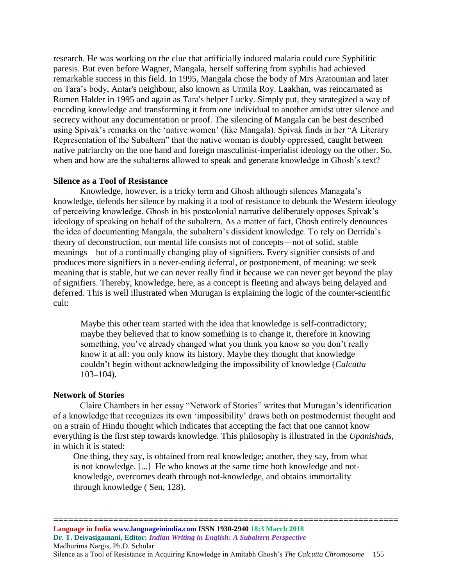research. He was working on the clue that artificially induced malaria could cure Syphilitic paresis. But even before Wagner, Mangala, herself suffering from syphilis had achieved remarkable success in this field. In 1995, Mangala chose the body of Mrs Aratounian and later on Tara's body, Antar's neighbour, also known as Urmila Roy. Laakhan, was reincarnated as Romen Halder in 1995 and again as Tara's helper Lucky. Simply put, they strategized a way of encoding knowledge and transforming it from one individual to another amidst utter silence and secrecy without any documentation or proof. The silencing of Mangala can be best described using Spivak's remarks on the 'native women' (like Mangala). Spivak finds in her "A Literary Representation of the Subaltern" that the native woman is doubly oppressed, caught between native patriarchy on the one hand and foreign masculinist-imperialist ideology on the other. So, when and how are the subalterns allowed to speak and generate knowledge in Ghosh's text?

# **Silence as a Tool of Resistance**

Knowledge, however, is a tricky term and Ghosh although silences Managala's knowledge, defends her silence by making it a tool of resistance to debunk the Western ideology of perceiving knowledge. Ghosh in his postcolonial narrative deliberately opposes Spivak's ideology of speaking on behalf of the subaltern. As a matter of fact, Ghosh entirely denounces the idea of documenting Mangala, the subaltern's dissident knowledge. To rely on Derrida's theory of deconstruction, our mental life consists not of concepts—not of solid, stable meanings—but of a continually changing play of signifiers. Every signifier consists of and produces more signifiers in a never-ending deferral, or postponement, of meaning: we seek meaning that is stable, but we can never really find it because we can never get beyond the play of signifiers. Thereby, knowledge, here, as a concept is fleeting and always being delayed and deferred. This is well illustrated when Murugan is explaining the logic of the counter-scientific cult:

Maybe this other team started with the idea that knowledge is self-contradictory; maybe they believed that to know something is to change it, therefore in knowing something, you've already changed what you think you know so you don't really know it at all: you only know its history. Maybe they thought that knowledge couldn't begin without acknowledging the impossibility of knowledge (*Calcutta* 103–104).

### **Network of Stories**

Claire Chambers in her essay "Network of Stories" writes that Murugan's identification of a knowledge that recognizes its own 'impossibility' draws both on postmodernist thought and on a strain of Hindu thought which indicates that accepting the fact that one cannot know everything is the first step towards knowledge. This philosophy is illustrated in the *Upanishads*, in which it is stated:

One thing, they say, is obtained from real knowledge; another, they say, from what is not knowledge. [...] He who knows at the same time both knowledge and notknowledge, overcomes death through not-knowledge, and obtains immortality through knowledge ( Sen, 128).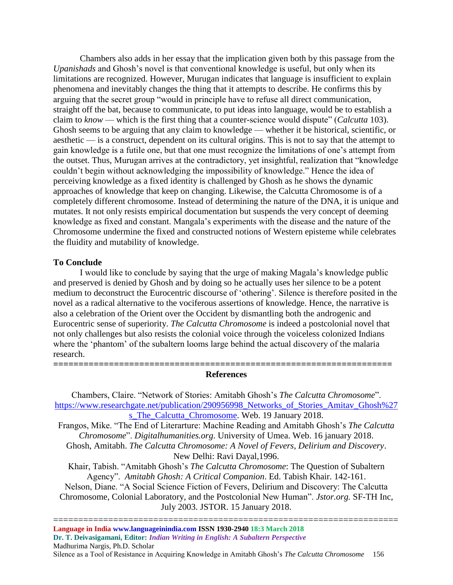Chambers also adds in her essay that the implication given both by this passage from the *Upanishads* and Ghosh's novel is that conventional knowledge is useful, but only when its limitations are recognized. However, Murugan indicates that language is insufficient to explain phenomena and inevitably changes the thing that it attempts to describe. He confirms this by arguing that the secret group "would in principle have to refuse all direct communication, straight off the bat, because to communicate, to put ideas into language, would be to establish a claim to *know* — which is the first thing that a counter-science would dispute" (*Calcutta* 103). Ghosh seems to be arguing that any claim to knowledge — whether it be historical, scientific, or aesthetic — is a construct, dependent on its cultural origins. This is not to say that the attempt to gain knowledge is a futile one, but that one must recognize the limitations of one's attempt from the outset. Thus, Murugan arrives at the contradictory, yet insightful, realization that "knowledge couldn't begin without acknowledging the impossibility of knowledge." Hence the idea of perceiving knowledge as a fixed identity is challenged by Ghosh as he shows the dynamic approaches of knowledge that keep on changing. Likewise, the Calcutta Chromosome is of a completely different chromosome. Instead of determining the nature of the DNA, it is unique and mutates. It not only resists empirical documentation but suspends the very concept of deeming knowledge as fixed and constant. Mangala's experiments with the disease and the nature of the Chromosome undermine the fixed and constructed notions of Western episteme while celebrates the fluidity and mutability of knowledge.

# **To Conclude**

I would like to conclude by saying that the urge of making Magala's knowledge public and preserved is denied by Ghosh and by doing so he actually uses her silence to be a potent medium to deconstruct the Eurocentric discourse of 'othering'. Silence is therefore posited in the novel as a radical alternative to the vociferous assertions of knowledge. Hence, the narrative is also a celebration of the Orient over the Occident by dismantling both the androgenic and Eurocentric sense of superiority. *The Calcutta Chromosome* is indeed a postcolonial novel that not only challenges but also resists the colonial voice through the voiceless colonized Indians where the 'phantom' of the subaltern looms large behind the actual discovery of the malaria research.

# **=================================================================== References**

Chambers, Claire. "Network of Stories: Amitabh Ghosh's *The Calcutta Chromosome*". [https://www.researchgate.net/publication/290956998\\_Networks\\_of\\_Stories\\_Amitav\\_Ghosh%27](https://www.researchgate.net/publication/290956998_Networks_of_Stories_Amitav_Ghosh%27s_The_Calcutta_Chromosome) s The Calcutta Chromosome. Web. 19 January 2018.

Frangos, Mike. "The End of Literarture: Machine Reading and Amitabh Ghosh's *The Calcutta Chromosome*". *Digitalhumanities.org*. University of Umea. Web. 16 january 2018. Ghosh, Amitabh. *The Calcutta Chromosome: A Novel of Fevers, Delirium and Discovery*.

New Delhi: Ravi Dayal,1996.

Khair, Tabish. "Amitabh Ghosh's *The Calcutta Chromosome*: The Question of Subaltern Agency". *Amitabh Ghosh: A Critical Companion*. Ed. Tabish Khair. 142-161.

Nelson, Diane. "A Social Science Fiction of Fevers, Delirium and Discovery: The Calcutta Chromosome, Colonial Laboratory, and the Postcolonial New Human". *Jstor.org.* SF-TH Inc, July 2003. JSTOR. 15 January 2018.